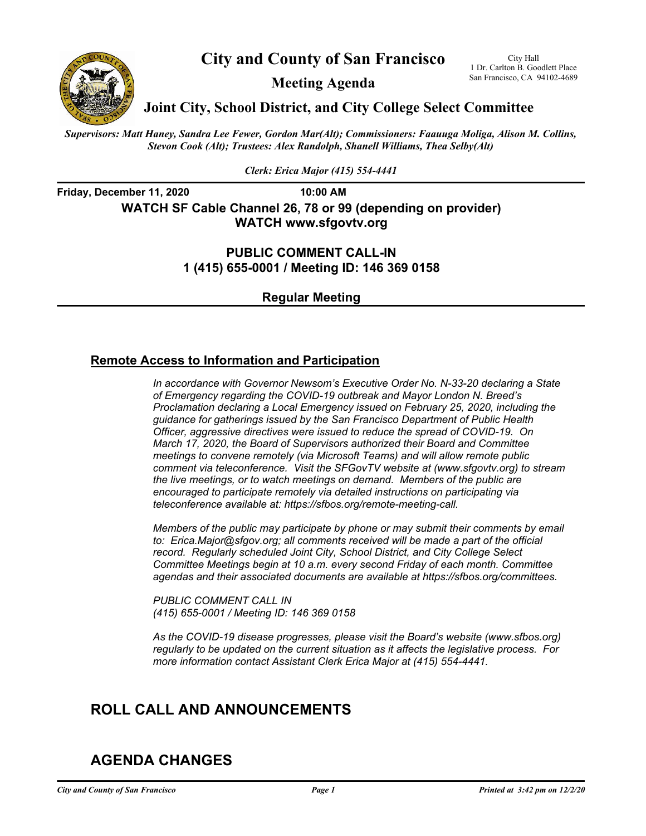

**City and County of San Francisco** 

San Francisco, CA 94102-4689 **Meeting Agenda** 

1 Dr. Carlton B. Goodlett Place

**Joint City, School District, and City College Select Committee** 

 *Stevon Cook (Alt); Trustees: Alex Randolph, Shanell Williams, Thea Selby(Alt) Supervisors: Matt Haney, Sandra Lee Fewer, Gordon Mar(Alt); Commissioners: Faauuga Moliga, Alison M. Collins,* 

*Clerk: Erica Major (415) 554-4441* 

**Friday, December 11, 2020 10:00 AM WATCH SF Cable Channel 26, 78 or 99 (depending on provider) WATCH [www.sfgovtv.org](http:www.sfgovtv.org)** 

> **1 (415) 655-0001 / Meeting ID: 146 369 0158 PUBLIC COMMENT CALL-IN**

> > **Regular Meeting**

### **Remote Access to Information and Participation**

*In accordance with Governor Newsom's Executive Order No. N-33-20 declaring a State of Emergency regarding the COVID-19 outbreak and Mayor London N. Breed's Proclamation declaring a Local Emergency issued on February 25, 2020, including the guidance for gatherings issued by the San Francisco Department of Public Health Officer, aggressive directives were issued to reduce the spread of COVID-19. On March 17, 2020, the Board of Supervisors authorized their Board and Committee meetings to convene remotely (via Microsoft Teams) and will allow remote public comment via teleconference. Visit the SFGovTV website at ([www.sfgovtv.org\)](http:www.sfgovtv.org) to stream the live meetings, or to watch meetings on demand. Members of the public are encouraged to participate remotely via detailed instructions on participating via teleconference available at: [https://sfbos.org/remote-meeting-call.](https://sfbos.org/remote-meeting-call)* 

*Members of the public may participate by phone or may submit their comments by email to: [Erica.Major@sfgov.org;](mailto:Erica.Major@sfgov.org) all comments received will be made a part of the official record. Regularly scheduled Joint City, School District, and City College Select Committee Meetings begin at 10 a.m. every second Friday of each month. Committee agendas and their associated documents are available at [https://sfbos.org/committees.](https://sfbos.org/committees)* 

*PUBLIC COMMENT CALL IN (415) 655-0001 / Meeting ID: 146 369 0158*

*As the COVID-19 disease progresses, please visit the Board's website ([www.sfbos.org](http:www.sfbos.org)) regularly to be updated on the current situation as it affects the legislative process. For more information contact Assistant Clerk Erica Major at (415) 554-4441.* 

# **ROLL CALL AND ANNOUNCEMENTS**

## **AGENDA CHANGES**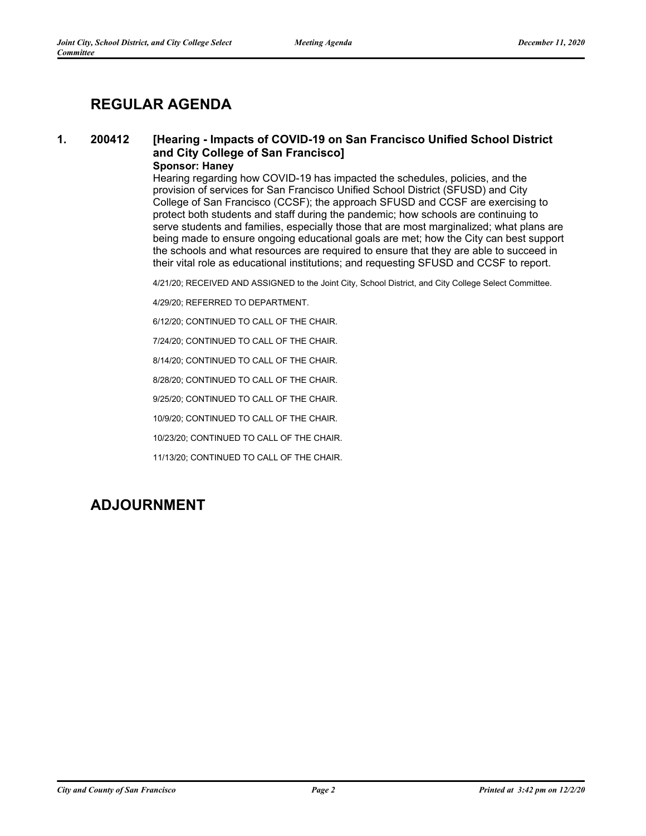## **REGULAR AGENDA**

#### $\mathbf 1$ . **1. 200412 [Hearing - Impacts of COVID-19 on San Francisco Unified School District and City College of San Francisco] Sponsor: Haney**

Hearing regarding how COVID-19 has impacted the schedules, policies, and the provision of services for San Francisco Unified School District (SFUSD) and City College of San Francisco (CCSF); the approach SFUSD and CCSF are exercising to protect both students and staff during the pandemic; how schools are continuing to serve students and families, especially those that are most marginalized; what plans are being made to ensure ongoing educational goals are met; how the City can best support the schools and what resources are required to ensure that they are able to succeed in their vital role as educational institutions; and requesting SFUSD and CCSF to report.

4/21/20; RECEIVED AND ASSIGNED to the Joint City, School District, and City College Select Committee.

4/29/20; REFERRED TO DEPARTMENT.

6/12/20; CONTINUED TO CALL OF THE CHAIR.

7/24/20; CONTINUED TO CALL OF THE CHAIR.

8/14/20; CONTINUED TO CALL OF THE CHAIR.

8/28/20; CONTINUED TO CALL OF THE CHAIR.

9/25/20; CONTINUED TO CALL OF THE CHAIR.

10/9/20; CONTINUED TO CALL OF THE CHAIR.

10/23/20; CONTINUED TO CALL OF THE CHAIR.

11/13/20; CONTINUED TO CALL OF THE CHAIR.

## **ADJOURNMENT**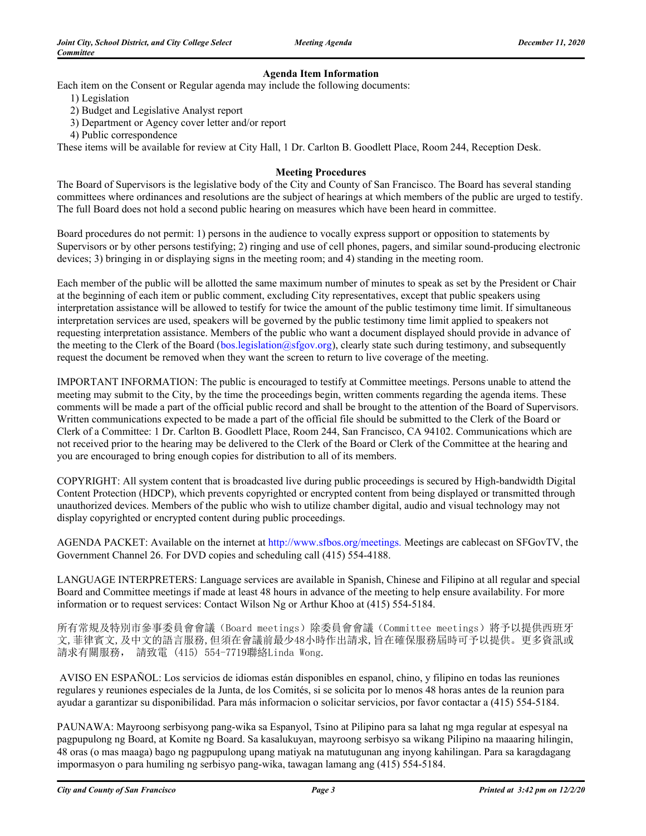### **Agenda Item Information**

Each item on the Consent or Regular agenda may include the following documents:

- 1) Legislation
- 2) Budget and Legislative Analyst report
- 3) Department or Agency cover letter and/or report
- 4) Public correspondence

These items will be available for review at City Hall, 1 Dr. Carlton B. Goodlett Place, Room 244, Reception Desk.

#### **Meeting Procedures**

The Board of Supervisors is the legislative body of the City and County of San Francisco. The Board has several standing committees where ordinances and resolutions are the subject of hearings at which members of the public are urged to testify. The full Board does not hold a second public hearing on measures which have been heard in committee.

Board procedures do not permit: 1) persons in the audience to vocally express support or opposition to statements by Supervisors or by other persons testifying; 2) ringing and use of cell phones, pagers, and similar sound-producing electronic devices; 3) bringing in or displaying signs in the meeting room; and 4) standing in the meeting room.

Each member of the public will be allotted the same maximum number of minutes to speak as set by the President or Chair at the beginning of each item or public comment, excluding City representatives, except that public speakers using interpretation assistance will be allowed to testify for twice the amount of the public testimony time limit. If simultaneous interpretation services are used, speakers will be governed by the public testimony time limit applied to speakers not requesting interpretation assistance. Members of the public who want a document displayed should provide in advance of the meeting to the Clerk of the Board ([bos.legislation@sfgov.org\)](http:bos.legislation@sfgov.org), clearly state such during testimony, and subsequently request the document be removed when they want the screen to return to live coverage of the meeting.

IMPORTANT INFORMATION: The public is encouraged to testify at Committee meetings. Persons unable to attend the meeting may submit to the City, by the time the proceedings begin, written comments regarding the agenda items. These comments will be made a part of the official public record and shall be brought to the attention of the Board of Supervisors. Written communications expected to be made a part of the official file should be submitted to the Clerk of the Board or Clerk of a Committee: 1 Dr. Carlton B. Goodlett Place, Room 244, San Francisco, CA 94102. Communications which are not received prior to the hearing may be delivered to the Clerk of the Board or Clerk of the Committee at the hearing and you are encouraged to bring enough copies for distribution to all of its members.

COPYRIGHT: All system content that is broadcasted live during public proceedings is secured by High-bandwidth Digital Content Protection (HDCP), which prevents copyrighted or encrypted content from being displayed or transmitted through unauthorized devices. Members of the public who wish to utilize chamber digital, audio and visual technology may not display copyrighted or encrypted content during public proceedings.

AGENDA PACKET: Available on the internet at<http://www.sfbos.org/meetings>. Meetings are cablecast on SFGovTV, the Government Channel 26. For DVD copies and scheduling call (415) 554-4188.

LANGUAGE INTERPRETERS: Language services are available in Spanish, Chinese and Filipino at all regular and special Board and Committee meetings if made at least 48 hours in advance of the meeting to help ensure availability. For more information or to request services: Contact Wilson Ng or Arthur Khoo at (415) 554-5184.

所有常規及特別市參事委員會會議(Board meetings)除委員會會議(Committee meetings)將予以提供西班牙 文,菲律賓文,及中文的語言服務,但須在會議前最少48小時作出請求,旨在確保服務屆時可予以提供。更多資訊或 請求有關服務, 請致電 (415) 554-7719聯絡Linda Wong.

 AVISO EN ESPAÑOL: Los servicios de idiomas están disponibles en espanol, chino, y filipino en todas las reuniones regulares y reuniones especiales de la Junta, de los Comités, si se solicita por lo menos 48 horas antes de la reunion para ayudar a garantizar su disponibilidad. Para más informacion o solicitar servicios, por favor contactar a (415) 554-5184.

PAUNAWA: Mayroong serbisyong pang-wika sa Espanyol, Tsino at Pilipino para sa lahat ng mga regular at espesyal na pagpupulong ng Board, at Komite ng Board. Sa kasalukuyan, mayroong serbisyo sa wikang Pilipino na maaaring hilingin, 48 oras (o mas maaga) bago ng pagpupulong upang matiyak na matutugunan ang inyong kahilingan. Para sa karagdagang impormasyon o para humiling ng serbisyo pang-wika, tawagan lamang ang (415) 554-5184.